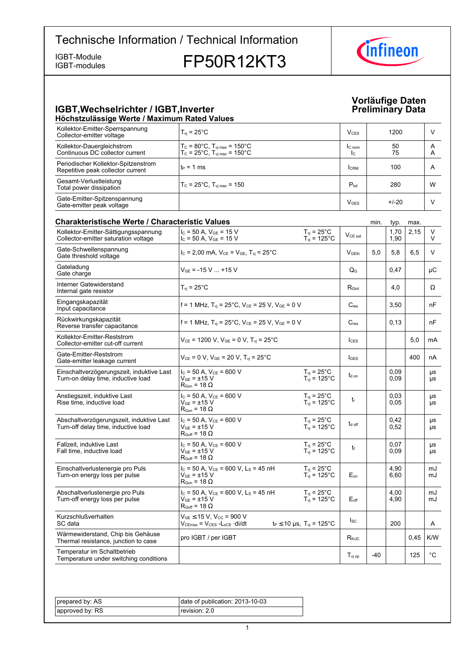IGBT-modules

IGBT-Module<br>IGBT-modules **FP50R12KT3** 



### **IGBT, Wechselrichter / IGBT, Inverter Contract of the Contract of Preliminary Höchstzulässige-Werte-/-Maximum-Rated-Values**

### **Vorläufige-Daten Data**

| Kollektor-Emitter-Sperrspannung<br>Collector-emitter voltage                    | $T_{vi}$ = 25 $^{\circ}$ C                                                                                       |                                                       | $V_{CES}$                          |      | 1200         |      | V            |
|---------------------------------------------------------------------------------|------------------------------------------------------------------------------------------------------------------|-------------------------------------------------------|------------------------------------|------|--------------|------|--------------|
| Kollektor-Dauergleichstrom<br>Continuous DC collector current                   | $T_c = 80^{\circ}$ C, $T_{vj \, max} = 150^{\circ}$ C<br>$T_{\rm C}$ = 25°C, $T_{\rm vi \, max}$ = 150°C         |                                                       | $I_{C \text{ nom}}$<br>$I_{\rm C}$ |      | 50<br>75     |      | A<br>Α       |
| Periodischer Kollektor-Spitzenstrom<br>Repetitive peak collector current        | $t_P = 1$ ms                                                                                                     |                                                       | <b>I</b> CRM                       |      | 100          |      | A            |
| Gesamt-Verlustleistung<br>Total power dissipation                               | $T_{\rm C}$ = 25°C, $T_{\rm vi \, max}$ = 150                                                                    |                                                       | $P_{\text{tot}}$                   |      | 280          |      | W            |
| Gate-Emitter-Spitzenspannung<br>Gate-emitter peak voltage                       |                                                                                                                  |                                                       | <b>V<sub>GES</sub></b>             |      | $+/-20$      |      | V            |
| <b>Charakteristische Werte / Characteristic Values</b>                          |                                                                                                                  |                                                       |                                    | min. | typ.         | max. |              |
| Kollektor-Emitter-Sättigungsspannung<br>Collector-emitter saturation voltage    | $I_c = 50$ A, $V_{GE} = 15$ V<br>$I_C$ = 50 A, $V_{GE}$ = 15 V                                                   | $T_{vi}$ = 25°C<br>$T_{vi}$ = 125°C                   | $V_{CE\ sat}$                      |      | 1,70<br>1,90 | 2,15 | V<br>V       |
| Gate-Schwellenspannung<br>Gate threshold voltage                                | $I_C = 2,00$ mA, $V_{CE} = V_{GE}$ , $T_{vi} = 25^{\circ}$ C                                                     |                                                       | V <sub>GEth</sub>                  | 5,0  | 5,8          | 6,5  | V            |
| Gateladung<br>Gate charge                                                       | $V_{GE}$ = -15 V  +15 V                                                                                          |                                                       | $\mathsf{Q}_{\mathsf{G}}$          |      | 0,47         |      | μC           |
| Interner Gatewiderstand<br>Internal gate resistor                               | $T_{\rm vj}$ = 25°C                                                                                              |                                                       | $R_{\text{Gint}}$                  |      | 4,0          |      | Ω            |
| Eingangskapazität<br>Input capacitance                                          | f = 1 MHz, $T_{vi}$ = 25°C, $V_{CE}$ = 25 V, $V_{GE}$ = 0 V                                                      |                                                       | $C_{\text{ies}}$                   |      | 3,50         |      | nF           |
| Rückwirkungskapazität<br>Reverse transfer capacitance                           | f = 1 MHz, $T_{vi}$ = 25°C, $V_{CE}$ = 25 V, $V_{GE}$ = 0 V                                                      |                                                       | $C_{res}$                          |      | 0,13         |      | nF           |
| Kollektor-Emitter-Reststrom<br>Collector-emitter cut-off current                | $V_{CE}$ = 1200 V, $V_{GE}$ = 0 V, $T_{vi}$ = 25°C                                                               |                                                       | $I_{\text{CES}}$                   |      |              | 5,0  | mA           |
| Gate-Emitter-Reststrom<br>Gate-emitter leakage current                          | $V_{CE} = 0 V$ , $V_{GE} = 20 V$ , $T_{vi} = 25^{\circ}C$                                                        |                                                       | $I_{GES}$                          |      |              | 400  | nA           |
| Einschaltverzögerungszeit, induktive Last<br>Turn-on delay time, inductive load | $I_C = 50$ A, $V_{CE} = 600$ V<br>$\rm V_{GF}$ = ±15 $\rm V$<br>$\mathsf{R}_{\mathsf{Gon}}$ = 18 $\Omega$        | $T_{\rm vj}$ = 25°C<br>$T_{vi}$ = 125°C               | $t_{d \text{ on}}$                 |      | 0.09<br>0,09 |      | μs<br>μs     |
| Anstiegszeit, induktive Last<br>Rise time, inductive load                       | $I_C$ = 50 A, $V_{CE}$ = 600 V<br>$V_{GF}$ = ±15 $V$<br>$R_{\text{Gon}} = 18 \Omega$                             | $T_{vi}$ = 25°C<br>$T_{vi}$ = 125°C                   | $t_{r}$                            |      | 0,03<br>0,05 |      | μs<br>μs     |
| Abschaltverzögerungszeit, induktive Last<br>Turn-off delay time, inductive load | $I_C = 50$ A, $V_{CE} = 600$ V<br>$V_{GF}$ = ±15 V<br>$R_{Goff}$ = 18 $\Omega$                                   | $T_{\rm vj}$ = 25°C<br>$T_{\text{vj}}$ = 125°C        | t <sub>d off</sub>                 |      | 0,42<br>0,52 |      | μs<br>μs     |
| Fallzeit, induktive Last<br>Fall time, inductive load                           | $I_C = 50$ A, $V_{CE} = 600$ V<br>$V_{GE}$ = $\pm$ 15 V<br>$R_{Goff}$ = 18 $\Omega$                              | $T_{vi}$ = 25 $^{\circ}$ C<br>$T_{vi}$ = 125°C        | t                                  |      | 0,07<br>0,09 |      | μs<br>μs     |
| Einschaltverlustenergie pro Puls<br>Turn-on energy loss per pulse               | $I_c = 50$ A, $V_{CE} = 600$ V, $L_s = 45$ nH<br>$V_{GE}$ = $\pm 15$ V<br>$R_{\text{Gon}} = 18 \Omega$           | $T_{vi}$ = 25 $^{\circ}$ C<br>$T_{\text{vj}}$ = 125°C | $E_{\text{on}}$                    |      | 4,90<br>6,60 |      | mJ<br>mJ     |
| Abschaltverlustenergie pro Puls<br>Turn-off energy loss per pulse               | $I_c$ = 50 A, $V_{CE}$ = 600 V, L <sub>s</sub> = 45 nH<br>$\rm V_{GF}$ = ±15 $\rm V$<br>$R_{Goff}$ = 18 $\Omega$ | $T_{\rm vj}$ = 25°C<br>$T_{\text{vj}}$ = 125°C        | $E_{\text{off}}$                   |      | 4,00<br>4,90 |      | mJ<br>mJ     |
| Kurzschlußverhalten<br>SC data                                                  | $V_{GE}$ $\leq$ 15 V, V <sub>CC</sub> = 900 V<br>Vcemax = Vces -Lsce ·di/dt                                      | $t_P \le 10 \,\mu s$ , $T_{vi} = 125^{\circ}C$        | $I_{SC}$                           |      | 200          |      | A            |
| Wärmewiderstand, Chip bis Gehäuse<br>Thermal resistance, junction to case       | pro IGBT / per IGBT                                                                                              |                                                       | $R_{thJC}$                         |      |              | 0.45 | K/W          |
| Temperatur im Schaltbetrieb<br>Temperature under switching conditions           |                                                                                                                  |                                                       | $T_{\text{vj op}}$                 | -40  |              | 125  | $^{\circ}$ C |

| prepared by: AS | date of publication: $2013-10-03$ |
|-----------------|-----------------------------------|
| approved by: RS | revision: 2.0                     |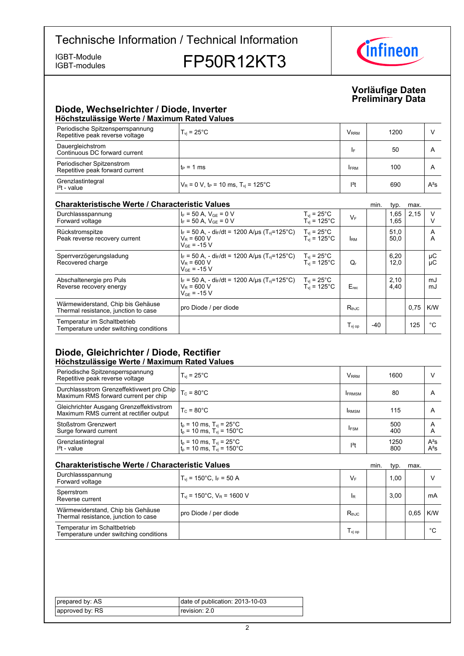IGBT-modules

IGBT-Module<br>IGBT-modules **FP50R12KT3** 



### **Vorläufige-Daten Preliminary-Data**

### **Diode,-Wechselrichter-/-Diode,-Inverter Höchstzulässige-Werte-/-Maximum-Rated-Values**

| Periodische Spitzensperrspannung<br>Repetitive peak reverse voltage | $T_{\rm vi}$ = 25 $^{\circ}$ C                               | <b>V</b> <sub>RRM</sub> | 1200 |        |  |  |  |
|---------------------------------------------------------------------|--------------------------------------------------------------|-------------------------|------|--------|--|--|--|
| Dauergleichstrom<br>Continuous DC forward current                   |                                                              | I۴                      | 50   | A      |  |  |  |
| Periodischer Spitzenstrom<br>Repetitive peak forward current        | $t_P = 1$ ms                                                 | <b>FRM</b>              | 100  | A      |  |  |  |
| Grenzlastintegral<br>$l2$ t - value                                 | $V_R$ = 0 V, t <sub>P</sub> = 10 ms, T <sub>vi</sub> = 125°C | $12$ t                  | 690  | $A^2S$ |  |  |  |

### **Charakteristische Werte / Characteristic**

| <b>Charakteristische Werte / Characteristic Values</b>                    |                                                                                                                   |                                                                      |                                    |       | typ.         | max. |          |
|---------------------------------------------------------------------------|-------------------------------------------------------------------------------------------------------------------|----------------------------------------------------------------------|------------------------------------|-------|--------------|------|----------|
| Durchlassspannung<br>Forward voltage                                      | $I_F = 50$ A, $V_{GE} = 0$ V<br>$I_F = 50 A$ , $V_{GF} = 0 V$                                                     | $T_{\rm vj} = 25^{\circ}$ C<br>$T_{\rm vj} = 125^{\circ}$ C          | $V_F$                              |       | 1,65<br>1,65 | 2,15 | $\vee$   |
| Rückstromspitze<br>Peak reverse recovery current                          | $I_F = 50$ A, - di $_F/dt = 1200$ A/us (T <sub>vi</sub> =125°C)<br>$V_R = 600 V$<br>$V_{GF} = -15 V$              | $T_{vi}$ = 25°C<br>$T_{vi}$ = 125 $^{\circ}$ C                       | <b>IRM</b>                         |       | 51,0<br>50,0 |      | A<br>A   |
| Sperrverzögerungsladung<br>Recovered charge                               | $I_F = 50$ A, - di $_F/dt = 1200$ A/us (T <sub>vi</sub> =125°C)<br>$V_R = 600 V$<br>$V_{GF}$ = -15 V              | $T_{\rm vi}$ = 25 $^{\circ}$ C<br>$T_{\text{vi}}$ = 125 $^{\circ}$ C | $Q_{r}$                            |       | 6,20<br>12,0 |      | μC<br>μC |
| Abschaltenergie pro Puls<br>Reverse recovery energy                       | $I_F = 50$ A, - di $_F/dt = 1200$ A/us (T <sub>vi</sub> =125 <sup>°</sup> C)<br>$V_R = 600 V$<br>$V_{GF}$ = -15 V | $T_{\text{vj}}$ = 25°C<br>$T_{\text{vi}}$ = 125°C                    | $E_{rec}$                          |       | 2,10<br>4,40 |      | mJ<br>mJ |
| Wärmewiderstand, Chip bis Gehäuse<br>Thermal resistance, junction to case | pro Diode / per diode                                                                                             |                                                                      | $R_{th,IC}$                        |       |              | 0,75 | K/W      |
| Temperatur im Schaltbetrieb<br>Temperature under switching conditions     |                                                                                                                   |                                                                      | $T_{\rm\scriptscriptstyle VI\,op}$ | $-40$ |              | 125  | °C       |

### **Diode, Gleichrichter / Diode, Rectifier Höchstzulässige-Werte-/-Maximum-Rated-Values**

| Periodische Spitzensperrspannung<br>Repetitive peak reverse voltage                 | $T_{vi}$ = 25 $^{\circ}$ C                                                                                                          | <b>V</b> <sub>RRM</sub> | 1600        |                  |
|-------------------------------------------------------------------------------------|-------------------------------------------------------------------------------------------------------------------------------------|-------------------------|-------------|------------------|
| Durchlassstrom Grenzeffektivwert pro Chip<br>Maximum RMS forward current per chip   | $T_c = 80^{\circ}$ C                                                                                                                | <b>IFRMSM</b>           | 80          | $\overline{A}$   |
| Gleichrichter Ausgang Grenzeffektivstrom<br>Maximum RMS current at rectifier output | $T_c = 80^{\circ}$ C                                                                                                                | <b>IRMSM</b>            | 115         | A                |
| <b>Stoßstrom Grenzwert</b><br>Surge forward current                                 | $\begin{cases} t_p = 10 \text{ ms}, T_{vj} = 25^{\circ} \text{C} \\ t_p = 10 \text{ ms}, T_{vj} = 150^{\circ} \text{C} \end{cases}$ | <b>IFSM</b>             | 500<br>400  | A<br>A           |
| Grenzlastintegral<br>$I2t - value$                                                  | $\begin{cases} t_p = 10 \text{ ms}, T_{vj} = 25^{\circ} \text{C} \\ t_p = 10 \text{ ms}, T_{vj} = 150^{\circ} \text{C} \end{cases}$ | $ ^{2}t$                | 1250<br>800 | $A^2S$<br>$A^2S$ |

| <b>Charakteristische Werte / Characteristic Values</b>                    |                                                  |                  | min. | tvp. | max. |     |
|---------------------------------------------------------------------------|--------------------------------------------------|------------------|------|------|------|-----|
| Durchlassspannung<br>Forward voltage                                      | $T_{vi}$ = 150°C, $I_F$ = 50 A                   | $V_F$            |      | 1.00 |      |     |
| Sperrstrom<br>Reverse current                                             | $T_{\text{vi}}$ = 150°C, $V_{\text{R}}$ = 1600 V | IR               |      | 3.00 |      | mA  |
| Wärmewiderstand, Chip bis Gehäuse<br>Thermal resistance, junction to case | pro Diode / per diode                            | $R_{th,IC}$      |      |      | 0.65 | K/W |
| Temperatur im Schaltbetrieb<br>Temperature under switching conditions     |                                                  | $T_{\rm vi\,op}$ |      |      |      | °C  |

| prepared by: AS | date of publication: 2013-10-03 |
|-----------------|---------------------------------|
| approved by: RS | revision: 2.0                   |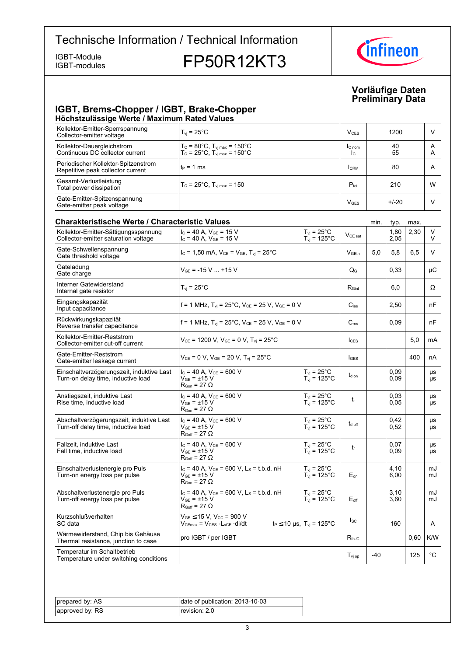IGBT-modules

IGBT-Module **FP50R12KT3** 



### **Vorläufige-Daten Preliminary-Data**

### **IGBT, Brems-Chopper / IGBT, Brake-Chopper Höchstzulässige-Werte-/-Maximum-Rated-Values**

| Kollektor-Emitter-Sperrspannung<br>Collector-emitter voltage             | $T_{vi}$ = 25 $^{\circ}$ C                                                                                            | $V_{CFS}$                | 1200     |        |
|--------------------------------------------------------------------------|-----------------------------------------------------------------------------------------------------------------------|--------------------------|----------|--------|
| Kollektor-Dauergleichstrom<br>Continuous DC collector current            | $T_c = 80^{\circ}$ C, $T_{\text{vi max}} = 150^{\circ}$ C<br>$T_c = 25^{\circ}C$ , $T_{\text{vi max}} = 150^{\circ}C$ | IC <sub>nom</sub><br>Ic. | 40<br>55 | A<br>A |
| Periodischer Kollektor-Spitzenstrom<br>Repetitive peak collector current | $t_P = 1$ ms                                                                                                          | <b>ICRM</b>              | 80       | A      |
| Gesamt-Verlustleistung<br>Total power dissipation                        | $T_c = 25^{\circ}$ C, $T_{\text{vi max}} = 150$                                                                       | $P_{\text{tot}}$         | 210      | W      |
| Gate-Emitter-Spitzenspannung<br>Gate-emitter peak voltage                |                                                                                                                       | V <sub>GES</sub>         | $+/-20$  |        |

#### **Charakteristische Werte / Characteristic Values Minited and Characteristic-** min. typ. max. Kollektor-Emitter-Sättigungsspannung Collector-emitter saturation voltage  $I_{\rm C}$  = 40 A, V<sub>GE</sub> = 15 V  $I_{\rm v}$  = 25°C  $\vert$  V<sub>CE sat</sub><br>  $I_{\rm C}$  = 40 A, V<sub>GE</sub> = 15 V  $I_{\rm vj}$  = 125°C  $\vert$  V<sub>CE sat</sub> 1,80 2,05  $2,30$  V V  $T_{vi}$  = 25 $^{\circ}$ C  $T_{vj} = 125\degree C$ Gate-Schwellenspannung Gate threshold  $V_{\text{C}} = 1,50 \text{ mA}, V_{\text{CE}} = V_{\text{GE}}$ ,  $T_{\text{vi}} = 25^{\circ}\text{C}$   $V_{\text{GEth}}$  5,0 5,8 6,5 V Gateladung Gate charge  $\begin{array}{|c|c|c|c|c|}\n\hline\n\text{change} & & & \text{if } \mathsf{V}_{\mathsf{GE}} = -15 \, \text{V} \dots + 15 \, \text{V} & & & \mathsf{Q}_\mathsf{G} & & \mathsf{Q}_\mathsf{G} & & \mathsf{Q}_\mathsf{G} \mathsf{G} & & \mathsf{V} \mathsf{G}.\n\hline\n\end{array}$ Interner Gatewiderstand Internal gate resistor  $\vert T_{\text{vj}} = 25^{\circ}$ C R<sub>Gint</sub>  $\vert$  R<sub>Gint</sub>  $\vert$  6,0  $\vert$  Ω Eingangskapazität Input capacitance f = 1 MHz,  $T_{\text{vj}}$  = 25°C,  $V_{\text{CE}}$  = 25 V,  $V_{\text{GE}}$  = 0 V  $C_{\text{ies}}$  2,50  $R_{\text{DE}}$ Rückwirkungskapazität Reverse transfer  $f = 1$  MHz,  $T_{vi} = 25^{\circ}$ C,  $V_{CE} = 25$  V,  $V_{GE} = 0$  V  $C_{res}$   $0,09$   $nF$ Kollektor-Emitter-Reststrom Collector-emitter cut-off  $V_{CE}$  = 1200 V,  $V_{GE}$  = 0 V, T<sub>vj</sub> = 25°C  $\vert$   $\vert$ <sub>CES</sub>  $\vert$   $\vert$  5,0  $\vert$  mA Gate-Emitter-Reststrom Gate-emitter leakage  $V_{CE} = 0 \text{ V}, V_{GE} = 20 \text{ V}, T_{vj} = 25^{\circ}\text{C}$   $| \cdot |_{GES} |$   $|$  400 nA Einschaltverzögerungszeit, induktive Last Turn-on delay time, inductive load  $I_{C}$  = 40 A,  $V_{CF}$  = 600 V  $V_{GE} = \pm 15 \text{ V}$  $R_{\text{Gon}} = 27 \Omega$ td on 0,09 0,09 µs µs  $T_{vi}$  = 25 $^{\circ}$ C  $T_{\text{vj}} = 125^{\circ}C$ Anstiegszeit, induktive Last Rise time, inductive load  $I_C = 40 A$ ,  $V_{CE} = 600 V$  $V_{GF}$  =  $\pm 15$  V  $R_{\text{Gon}} = 27 \Omega$ tr 0,03 0,05 µs µs  $T_{\text{vj}}$  = 25 $^{\circ}$ C  $T_{\text{vj}} = 125^{\circ}C$ Abschaltverzögerungszeit, induktive Last Turn-off delay time, inductive load  $I_C = 40$  A,  $V_{CE} = 600$  V  $V_{GE} = \pm 15$  V  $R_{Goff}$  = 27  $\Omega$ t<sub>d off</sub> 0,42  $0.52$ µs µs  $T_{vi}$  = 25 $^{\circ}$ C  $T_{\text{vj}} = 125^{\circ} \text{C}$ Fallzeit, induktive Last Fall time, inductive load  $I_C = 40 A$ ,  $V_{CE} = 600 V$  $V_{CE}$  =  $+15$  V  $R_{\text{Coff}} = 27 \Omega$  $t_f$ 0,07 0.09 µs µs  $T_{\text{vj}} = 25^{\circ} \text{C}$  $T_{\text{vj}} = 125^{\circ} \text{C}$ Einschaltverlustenergie pro Puls Turn-on energy loss per pulse  $I_c = 40$  A,  $V_{CE} = 600$  V,  $L_s = t.b.d.$  nH  $\rm V_{GE}$  =  $\pm 15~\rm V$  $R_{\text{Gon}} = 27 \Omega$  $F_{\alpha}$ 4,10 6,00 m. m.l  $T_{\rm vj}$  = 25°C  $T_{\rm vj}$  = 125°C Abschaltverlustenergie pro Puls Turn-off energy loss per pulse  $I_C = 40$  A,  $V_{CE} = 600$  V,  $L_S = t.b.d.$  nH  $V_{CE}$  = +15 V  $R_{Goff}$  = 27  $\Omega$  $F_{\alpha f}$ 3,10 3,60  $m<sub>l</sub>$ mJ  $T_{vi}$  = 25 $^{\circ}$ C  $T_{vi}$  = 125°C Kurzschlußverhalten SC-data  $V_{GE} \le 15$  V,  $V_{CC} = 900$  V<br> $V_{CEmax} = V_{CES} - L_{sCE} \cdot di/dt$  $t_P$  ≤ 10 µs, T<sub>vj</sub> = 125°C  $\begin{vmatrix} \text{lsc} \\ \text{160} \end{vmatrix}$  160 A Wärmewiderstand, Chip bis Gehäuse warmewheredand, Only bis Ochause<br>Thermal resistance, junction to case IGBT / per  $\begin{array}{|c|c|c|c|c|c|}\n\hline\n & R_{thJC} & & \hline\n0,60 &\text{K/W} \end{array}$ Temperatur im Schaltbetrieb Temperature under switching conditions the conditions of  $\begin{array}{|c|c|c|c|c|}\hline \texttt{J}_\texttt{Vj\,op} & -40 & -125 & \texttt{°C} \ \hline \end{array}$

| prepared by: AS | date of publication: 2013-10-03 |
|-----------------|---------------------------------|
| approved by: RS | revision: 2.0                   |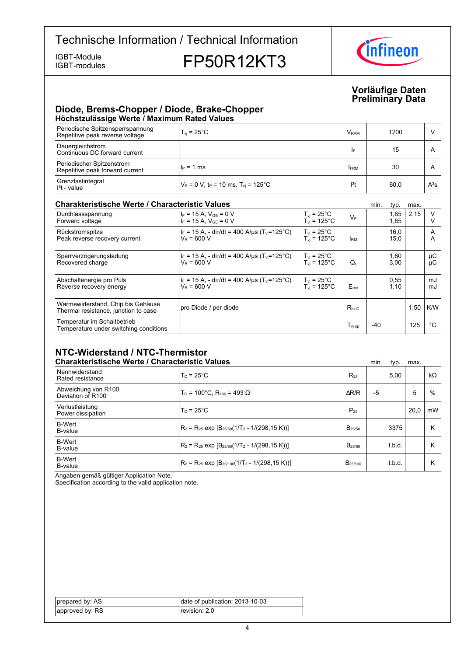IGBT-modules

IGBT-Module<br>IGBT-modules **FP50R12KT3** 



### **Vorläufige-Daten Preliminary-Data**

### **Diode, Brems-Chopper / Diode, Brake-Chopper Höchstzulässige-Werte-/-Maximum-Rated-Values**

| Periodische Spitzensperrspannung<br>Repetitive peak reverse voltage | $T_{\rm vi}$ = 25 $^{\circ}$ C                               | <b>V</b> <sub>RRM</sub> | 1200 |              |  |  |  |  |
|---------------------------------------------------------------------|--------------------------------------------------------------|-------------------------|------|--------------|--|--|--|--|
| Dauergleichstrom<br>Continuous DC forward current                   |                                                              | I۴                      | 15   | $\mathsf{A}$ |  |  |  |  |
| Periodischer Spitzenstrom<br>Repetitive peak forward current        | $t_P = 1$ ms                                                 | <b>FRM</b>              | 30   | A            |  |  |  |  |
| Grenzlastintegral<br>$I2t - value$                                  | $V_R$ = 0 V, t <sub>P</sub> = 10 ms, T <sub>vi</sub> = 125°C | $12$ t                  | 60,0 | $A^2S$       |  |  |  |  |

### **Charakteristische Werte / Characteristic**

| <b>Charakteristische Werte / Characteristic Values</b>                    |                                                                                            |                                                                      |                  |       | typ.         | max. |          |
|---------------------------------------------------------------------------|--------------------------------------------------------------------------------------------|----------------------------------------------------------------------|------------------|-------|--------------|------|----------|
| Durchlassspannung<br>Forward voltage                                      | $I_F = 15 A$ , $V_{GF} = 0 V$<br>$I_F = 15 A$ , $V_{GF} = 0 V$                             | $T_{\rm vj} = 25^{\circ}$ C<br>$T_{\rm vj} = 125^{\circ}$ C          | $V_F$            |       | 1,65<br>1,65 | 2,15 | $\vee$   |
| Rückstromspitze<br>Peak reverse recovery current                          | $I_F = 15 A$ , - di $_F/dt = 400 A/\mu s$ (T <sub>vi</sub> =125°C)<br>$V_R = 600 V$        | $T_{vi}$ = 25°C<br>$T_{vi}$ = 125 $^{\circ}$ C                       | <b>IRM</b>       |       | 16,0<br>15,0 |      | A<br>A   |
| Sperrverzögerungsladung<br>Recovered charge                               | $I_F = 15$ A, - di $_F/dt = 400$ A/us (T <sub>vi</sub> =125°C)<br>$V_R = 600 V$            | $T_{\rm vi}$ = 25 $^{\circ}$ C<br>$T_{\text{vi}}$ = 125 $^{\circ}$ C | $Q_{r}$          |       | 1,80<br>3,00 |      | μC<br>μC |
| Abschaltenergie pro Puls<br>Reverse recovery energy                       | $I_F = 15 A$ , - di $_F/dt = 400 A/ \mu s$ (T <sub>vi</sub> =125°C)<br>$V_{\rm P} = 600$ V | $T_{\rm vj}$ = 25°C<br>$T_{vi} = 125^{\circ}$ C                      | $E_{rec}$        |       | 0,55<br>1,10 |      | mJ<br>mJ |
| Wärmewiderstand, Chip bis Gehäuse<br>Thermal resistance, junction to case | pro Diode / per diode                                                                      |                                                                      | $R_{th,IC}$      |       |              | 1,50 | K/W      |
| Temperatur im Schaltbetrieb<br>Temperature under switching conditions     |                                                                                            |                                                                      | $T_{\rm vi\,op}$ | $-40$ |              | 125  | °C       |

### **NTC-Widerstand-/-NTC-Thermistor Charakteristische Werte / Characteristic**

| <b>Charakteristische Werte / Characteristic Values</b> |                                                          |                    | min. | typ.   | max. |           |
|--------------------------------------------------------|----------------------------------------------------------|--------------------|------|--------|------|-----------|
| Nennwiderstand<br>Rated resistance                     | $T_c = 25^{\circ}$ C                                     | $R_{25}$           |      | 5.00   |      | $k\Omega$ |
| Abweichung von R100<br>Deviation of R100               | $T_c$ = 100°C. R <sub>100</sub> = 493 Ω                  | AR/R               | -5   |        | 5    | $\%$      |
| Verlustleistung<br>Power dissipation                   | $T_c = 25^{\circ}$ C                                     | $P_{25}$           |      |        | 20.0 | mW        |
| <b>B-Wert</b><br>B-value                               | $R_2 = R_{25}$ exp $[B_{25/50}(1/T_2 - 1/(298, 15 K))]$  | $B_{25/50}$        |      | 3375   |      | κ         |
| <b>B-Wert</b><br>B-value                               | $R_2 = R_{25}$ exp $[B_{25/80}(1/T_2 - 1/(298, 15 K))]$  | B <sub>25/80</sub> |      | t.b.d. |      | κ         |
| <b>B-Wert</b><br>B-value                               | $R_2 = R_{25}$ exp $[B_{25/100}(1/T_2 - 1/(298, 15 K))]$ | $B_{25/100}$       |      | t.b.d. |      | κ         |

Angaben gemäß gültiger Application Note.

Specification according to the valid application note.

| prepared by: AS | date of publication: 2013-10-03 |
|-----------------|---------------------------------|
| approved by: RS | revision: 2.0                   |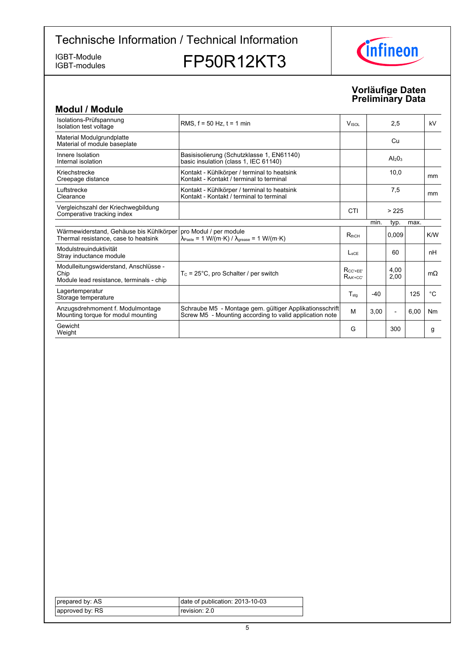IGBT-modules

IGBT-Module<br>IGBT-modules **FP50R12KT3** 



### **Vorläufige-Daten Preliminary-Data**

| <b>Modul / Module</b>                                                                     |                                                                                                                      |                                  |           |                          |      |             |
|-------------------------------------------------------------------------------------------|----------------------------------------------------------------------------------------------------------------------|----------------------------------|-----------|--------------------------|------|-------------|
| Isolations-Prüfspannung<br>Isolation test voltage                                         | RMS. $f = 50$ Hz. $t = 1$ min                                                                                        | <b>V</b> <sub>ISOL</sub>         | 2,5       |                          | kV   |             |
| Material Modulgrundplatte<br>Material of module baseplate                                 |                                                                                                                      |                                  |           | Cu                       |      |             |
| Innere Isolation<br>Internal isolation                                                    | Basisisolierung (Schutzklasse 1, EN61140)<br>basic insulation (class 1, IEC 61140)                                   |                                  | $Al_2O_3$ |                          |      |             |
| Kriechstrecke<br>Creepage distance                                                        | Kontakt - Kühlkörper / terminal to heatsink<br>Kontakt - Kontakt / terminal to terminal                              |                                  | 10,0      |                          | mm   |             |
| Luftstrecke<br>Clearance                                                                  | Kontakt - Kühlkörper / terminal to heatsink<br>Kontakt - Kontakt / terminal to terminal                              |                                  | 7,5       |                          | mm   |             |
| Vergleichszahl der Kriechwegbildung<br>Comperative tracking index                         |                                                                                                                      | CTI                              | > 225     |                          |      |             |
|                                                                                           |                                                                                                                      |                                  | min.      | typ.                     | max. |             |
| Wärmewiderstand, Gehäuse bis Kühlkörper<br>Thermal resistance, case to heatsink           | pro Modul / per module<br>$\lambda_{\text{Paste}} = 1 \text{ W/(m·K)} / \lambda_{\text{grease}} = 1 \text{ W/(m·K)}$ | $R_{thCH}$                       |           | 0.009                    |      | K/W         |
| Modulstreuinduktivität<br>Stray inductance module                                         |                                                                                                                      | $L_{\rm{SCF}}$                   |           | 60                       |      | nH          |
| Modulleitungswiderstand, Anschlüsse -<br>Chip<br>Module lead resistance, terminals - chip | $T_c = 25^{\circ}$ C, pro Schalter / per switch                                                                      | $R_{CC'+EE'}$<br>$R_{AA' + CC'}$ |           | 4.00<br>2,00             |      | $m\Omega$   |
| Lagertemperatur<br>Storage temperature                                                    |                                                                                                                      | $T_{\text{stq}}$                 | $-40$     |                          | 125  | $^{\circ}C$ |
| Anzugsdrehmoment f. Modulmontage<br>Mounting torque for modul mounting                    | Schraube M5 - Montage gem. gültiger Applikationsschrift<br>Screw M5 - Mounting according to valid application note   | M                                | 3,00      | $\overline{\phantom{a}}$ | 6,00 | Nm          |
| Gewicht<br>Weight                                                                         |                                                                                                                      | G                                |           | 300                      |      | g           |

| prepared by: AS | date of publication: 2013-10-03 |
|-----------------|---------------------------------|
| approved by: RS | revision: 2.0                   |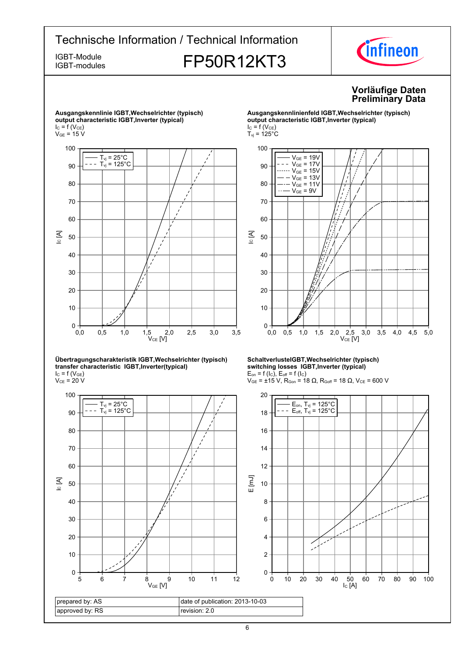IGBT-modules

# IGBT-Module<br>IGBT-modules **FP50R12KT3**





#### **Übertragungscharakteristik-IGBT,Wechselrichter-(typisch) transfer-characteristic--IGBT,Inverter(typical)**  $I_{C}$  = f (V<sub>GE</sub>)

 $\rm V_{CE}$  = 20 V



#### **SchaltverlusteIGBT,Wechselrichter-(typisch) switching-losses--IGBT,Inverter-(typical)**  $E_{on}$  = f (l<sub>C</sub>),  $E_{off}$  = f (l<sub>C</sub>)

 $V_{GE}$  = ±15 V, R<sub>Gon</sub> = 18 Ω, R<sub>Goff</sub> = 18 Ω, V<sub>CE</sub> = 600 V



6

### **Vorläufige-Daten Preliminary-Data**

**Ausgangskennlinienfeld-IGBT,Wechselrichter-(typisch) output-characteristic-IGBT,Inverter-(typical)**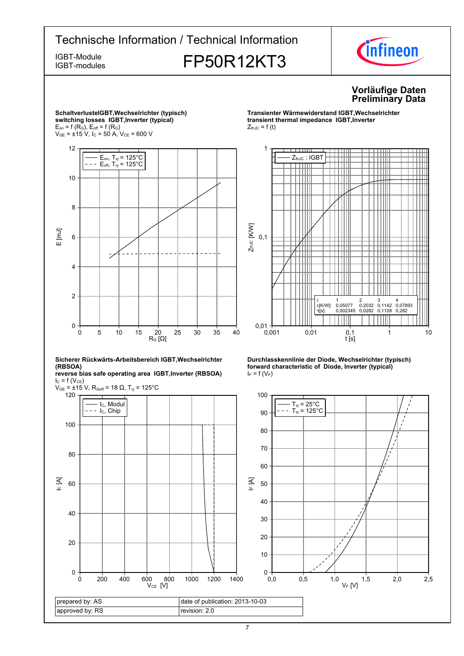

7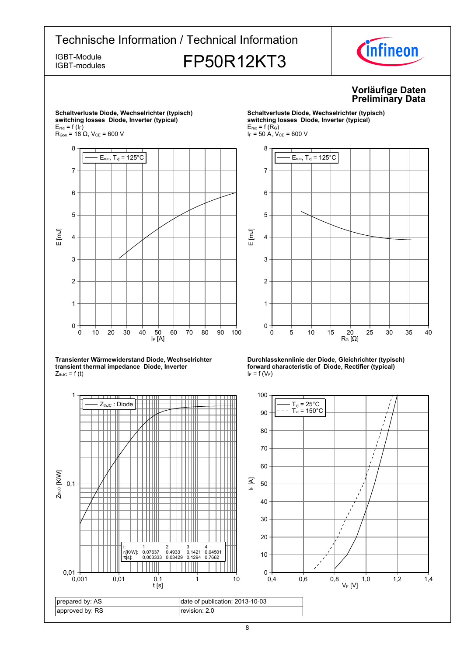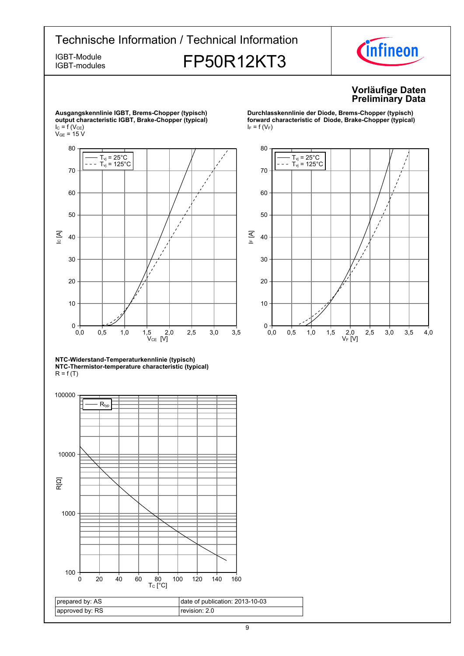IGBT-modules

IGBT-Module<br>IGBT-modules **FP50R12KT3** 



### **Vorläufige-Daten Preliminary-Data**



 $T_{\text{vj}}$  = 25 $^{\circ}$ C  $T_{\text{vj}} = 125^{\circ} \text{C}$ 70

 $I_F = f(V_F)$ 

80



**Durchlasskennlinie der Diode, Brems-Chopper (typisch) forward characteristic of Diode, Brake-Chopper (typical)** 

**NTC-Widerstand-Temperaturkennlinie-(typisch) NTC-Thermistor-temperature-characteristic-(typical)**  $R = f(T)$ 

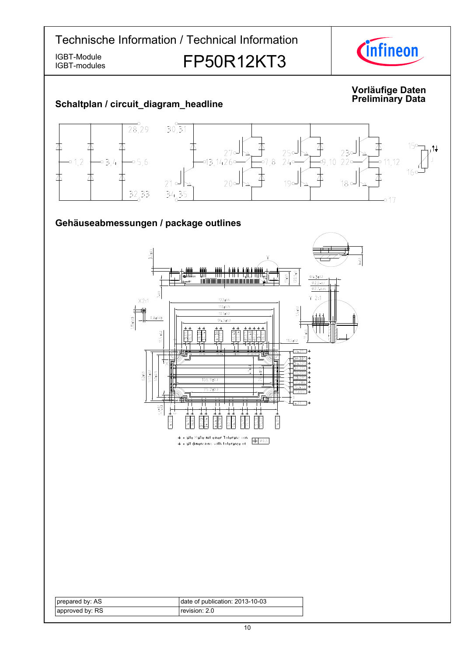IGBT-modules

IGBT-Module<br>IGBT-modules **FP50R12KT3** 



#### **Vorläufige-Daten Data Schaltplan-/-circuit\_diagram\_headline Preliminary-** $30,31$  $\frac{1}{28,29}$ 本 丕 夲  $15c$ 木 木 不 ж لہ27<br>-1426,43,1426  $230$  $25c$ -<br>-9,10 22°  $01,2$  $03.4$  $-0.5, 6$  $-07, 8$  $240$  $-0.11.12$ 16  $\Delta$ 丕 木 本 本 本  $20<sup>o</sup>$  $18°$  $210$  $190$  $\frac{32,33}{2}$  $34,35$ -0 17 Gehäuseabmessungen / package outlines  $3.5 - 0.5$  $\frac{5}{1}$  $(20.5)$  $7*0.5$ I diny I N I  $04.3101$ Infineonות מחדמו היום מותו ומות מות  $\phi$ 2.5-0.1  $\frac{1}{0.2}$   $\frac{1}{0.05}$  $7 - 0.5$  $Y$  2:1  $X2:1$  $122 \pm 0.5$  $110+0.15$  $5 + 0.2$  $1.15 \pm 0.03$  $107 + 0.2$  $0.8 + 0.03$  $94.5 \pm 0.2$  $11.5 \pm 0.2$  $\frac{38}{5110}$  $\overline{a}$  $11.5 \pm 0.2$  $-54.21$  \* 38.335 \*  $\frac{62+0.5}{57.5+0.2}$ 50±0.15  $106.9 \pm 0.3$  $\overline{10}$  $\frac{1}{4.21}$  \*  $5.5^{+0.1}_{-0.3}$  $114.055*$  $-4.055$ \* = alle Maße mit einer Toleranz von  $\Phi$   $\phi$ 0.5  $*$  = all dimensions with tolerance of prepared by: AS date of publication: 2013-10-03 approved by: RS revision: 2.0